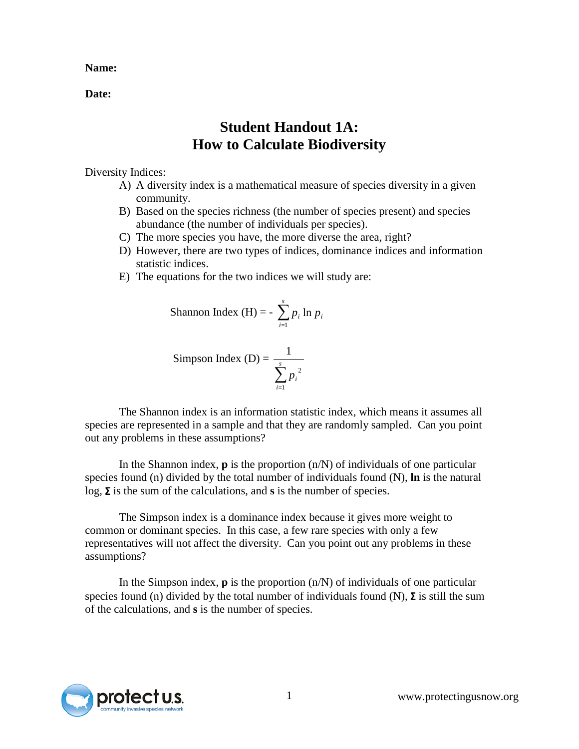**Name:**

**Date:**

## **Student Handout 1A: How to Calculate Biodiversity**

Diversity Indices:

- A) A diversity index is a mathematical measure of species diversity in a given community.
- B) Based on the species richness (the number of species present) and species abundance (the number of individuals per species).
- C) The more species you have, the more diverse the area, right?
- D) However, there are two types of indices, dominance indices and information statistic indices.
- E) The equations for the two indices we will study are:

Shannon Index (H) = 
$$
- \sum_{i=1}^{s} p_i \ln p_i
$$

Simpson Index (D) = 
$$
\frac{1}{\sum_{i=1}^{s} p_i^2}
$$

The Shannon index is an information statistic index, which means it assumes all species are represented in a sample and that they are randomly sampled. Can you point out any problems in these assumptions?

In the Shannon index, **p** is the proportion (n/N) of individuals of one particular species found (n) divided by the total number of individuals found (N), **ln** is the natural log, Σ is the sum of the calculations, and **s** is the number of species.

The Simpson index is a dominance index because it gives more weight to common or dominant species. In this case, a few rare species with only a few representatives will not affect the diversity. Can you point out any problems in these assumptions?

In the Simpson index, **p** is the proportion (n/N) of individuals of one particular species found (n) divided by the total number of individuals found (N),  $\Sigma$  is still the sum of the calculations, and **s** is the number of species.

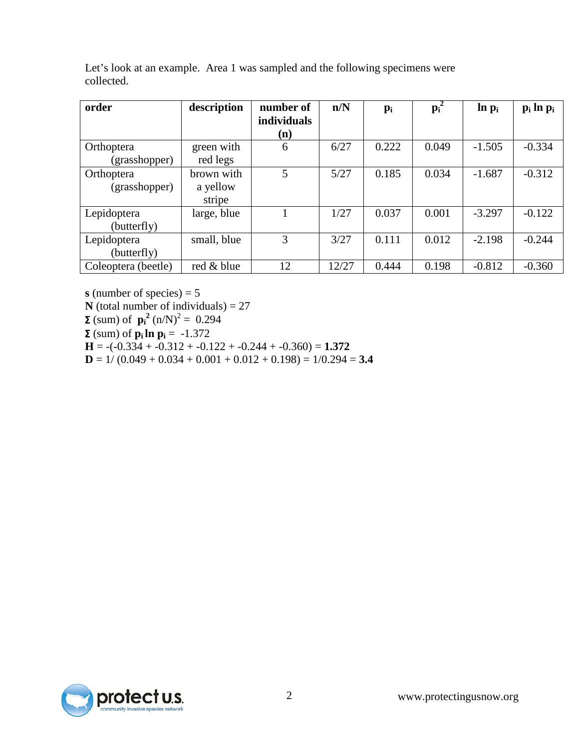| order                      | description        | number of<br><i>individuals</i> | n/N   | $p_i$ | $\mathbf{p_i}^2$ | $\ln p_i$ | $p_i \ln p_i$ |
|----------------------------|--------------------|---------------------------------|-------|-------|------------------|-----------|---------------|
|                            |                    | (n)                             |       |       |                  |           |               |
| Orthoptera                 | green with         | 6                               | 6/27  | 0.222 | 0.049            | $-1.505$  | $-0.334$      |
| (grasshopper)              | red legs           |                                 |       |       |                  |           |               |
| Orthoptera                 | brown with         | 5                               | 5/27  | 0.185 | 0.034            | $-1.687$  | $-0.312$      |
| (grasshopper)              | a yellow<br>stripe |                                 |       |       |                  |           |               |
| Lepidoptera<br>(butterfly) | large, blue        |                                 | 1/27  | 0.037 | 0.001            | $-3.297$  | $-0.122$      |
| Lepidoptera<br>(butterfly) | small, blue        | 3                               | 3/27  | 0.111 | 0.012            | $-2.198$  | $-0.244$      |
| Coleoptera (beetle)        | red & blue         | 12                              | 12/27 | 0.444 | 0.198            | $-0.812$  | $-0.360$      |

Let's look at an example. Area 1 was sampled and the following specimens were collected.

**s** (number of species) = 5 **N** (total number of individuals) = 27 **Σ** (sum) of  $\mathbf{p_i}^2$  (n/N)<sup>2</sup> = 0.294

**Σ** (sum) of  $\mathbf{p_i} \ln \mathbf{p_i} = -1.372$ 

 $H = -(-0.334 + -0.312 + -0.122 + -0.244 + -0.360) = 1.372$ 

 $D = 1/(0.049 + 0.034 + 0.001 + 0.012 + 0.198) = 1/0.294 = 3.4$ 

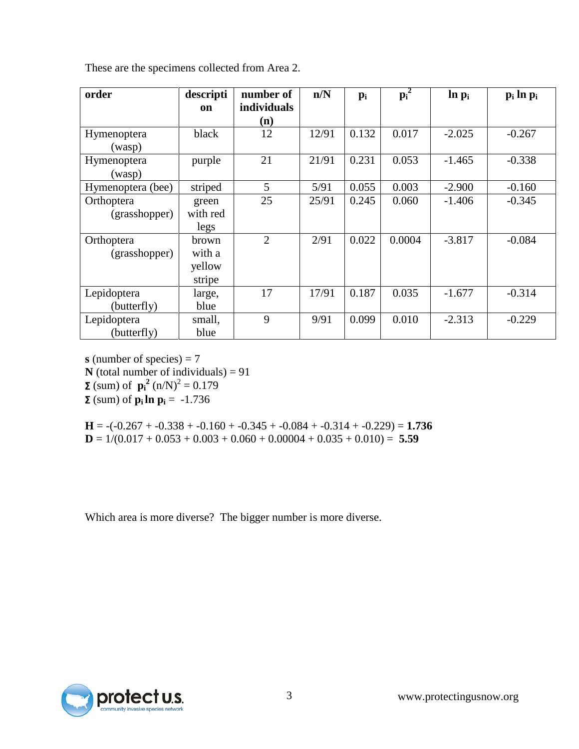| order             | descripti | number of          | n/N   | $p_i$ | $p_i^2$ | $\ln p_i$ | $p_i \ln p_i$ |
|-------------------|-----------|--------------------|-------|-------|---------|-----------|---------------|
|                   | on        | <i>individuals</i> |       |       |         |           |               |
|                   |           | (n)                |       |       |         |           |               |
| Hymenoptera       | black     | 12                 | 12/91 | 0.132 | 0.017   | $-2.025$  | $-0.267$      |
| (wasp)            |           |                    |       |       |         |           |               |
| Hymenoptera       | purple    | 21                 | 21/91 | 0.231 | 0.053   | $-1.465$  | $-0.338$      |
| (wasp)            |           |                    |       |       |         |           |               |
| Hymenoptera (bee) | striped   | 5                  | 5/91  | 0.055 | 0.003   | $-2.900$  | $-0.160$      |
| Orthoptera        | green     | 25                 | 25/91 | 0.245 | 0.060   | $-1.406$  | $-0.345$      |
| (grasshopper)     | with red  |                    |       |       |         |           |               |
|                   | legs      |                    |       |       |         |           |               |
| Orthoptera        | brown     | $\overline{2}$     | 2/91  | 0.022 | 0.0004  | $-3.817$  | $-0.084$      |
| (grasshopper)     | with a    |                    |       |       |         |           |               |
|                   | yellow    |                    |       |       |         |           |               |
|                   | stripe    |                    |       |       |         |           |               |
| Lepidoptera       | large,    | 17                 | 17/91 | 0.187 | 0.035   | $-1.677$  | $-0.314$      |
| (butterfly)       | blue      |                    |       |       |         |           |               |
| Lepidoptera       | small,    | 9                  | 9/91  | 0.099 | 0.010   | $-2.313$  | $-0.229$      |
| (butterfly)       | blue      |                    |       |       |         |           |               |

These are the specimens collected from Area 2.

**s** (number of species) = 7

**N** (total number of individuals) =  $91$ 

**Σ** (sum) of  $\mathbf{p_i}^2$  (n/N)<sup>2</sup> = 0.179

**Σ** (sum) of  $p_i ln p_i = -1.736$ 

 $H = -(-0.267 + -0.338 + -0.160 + -0.345 + -0.084 + -0.314 + -0.229) = 1.736$ **D** =  $1/(0.017 + 0.053 + 0.003 + 0.060 + 0.00004 + 0.035 + 0.010) =$  **5.59** 

Which area is more diverse? The bigger number is more diverse.